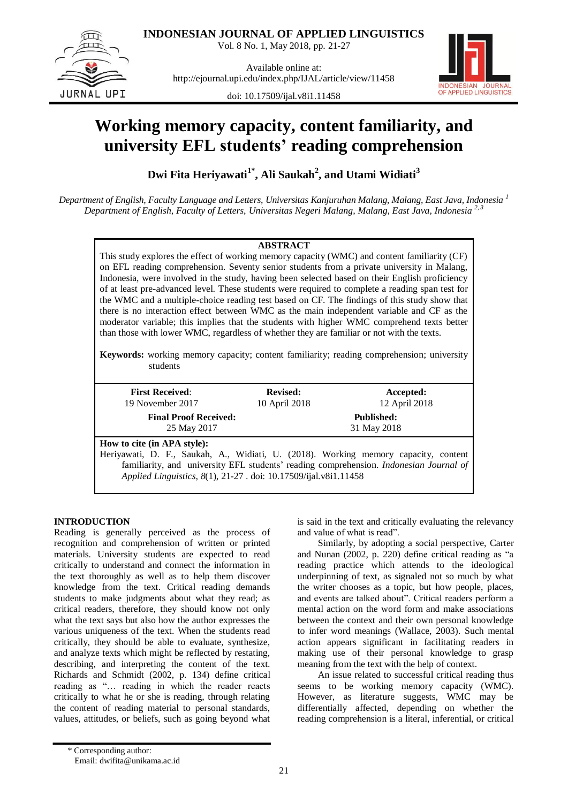

**INDONESIAN JOURNAL OF APPLIED LINGUISTICS**

Vol. 8 No. 1, May 2018, pp. 21-27

Available online at: http://ejournal.upi.edu/index.php/IJAL/article/view/11458



doi: 10.17509/ijal.v8i1.11458

# **Working memory capacity, content familiarity, and university EFL students' reading comprehension**

**Dwi Fita Heriyawati1\*, Ali Saukah<sup>2</sup> , and Utami Widiati<sup>3</sup>**

*Department of English, Faculty Language and Letters, Universitas Kanjuruhan Malang, Malang, East Java, Indonesia <sup>1</sup> Department of English, Faculty of Letters, Universitas Negeri Malang, Malang, East Java, Indonesia 2, 3*

## **ABSTRACT**

This study explores the effect of working memory capacity (WMC) and content familiarity (CF) on EFL reading comprehension. Seventy senior students from a private university in Malang, Indonesia, were involved in the study, having been selected based on their English proficiency of at least pre-advanced level. These students were required to complete a reading span test for the WMC and a multiple-choice reading test based on CF. The findings of this study show that there is no interaction effect between WMC as the main independent variable and CF as the moderator variable; this implies that the students with higher WMC comprehend texts better than those with lower WMC, regardless of whether they are familiar or not with the texts.

**Keywords:** working memory capacity; content familiarity; reading comprehension; university students

| <b>First Received:</b><br>19 November 2017                                                      | <b>Revised:</b><br>10 April 2018 |                                                                                                                                                                               |  |  |
|-------------------------------------------------------------------------------------------------|----------------------------------|-------------------------------------------------------------------------------------------------------------------------------------------------------------------------------|--|--|
| <b>Final Proof Received:</b><br>25 May 2017                                                     |                                  | 12 April 2018<br><b>Published:</b><br>31 May 2018                                                                                                                             |  |  |
| How to cite (in APA style):<br>Applied Linguistics, 8(1), 21-27 . doi: 10.17509/ijal.v8i1.11458 |                                  | Heriyawati, D. F., Saukah, A., Widiati, U. (2018). Working memory capacity, content<br>familiarity, and university EFL students' reading comprehension. Indonesian Journal of |  |  |

# **INTRODUCTION**

Reading is generally perceived as the process of recognition and comprehension of written or printed materials. University students are expected to read critically to understand and connect the information in the text thoroughly as well as to help them discover knowledge from the text. Critical reading demands students to make judgments about what they read; as critical readers, therefore, they should know not only what the text says but also how the author expresses the various uniqueness of the text. When the students read critically, they should be able to evaluate, synthesize, and analyze texts which might be reflected by restating, describing, and interpreting the content of the text. Richards and Schmidt (2002, p. 134) define critical reading as "… reading in which the reader reacts critically to what he or she is reading, through relating the content of reading material to personal standards, values, attitudes, or beliefs, such as going beyond what

is said in the text and critically evaluating the relevancy and value of what is read".

Similarly, by adopting a social perspective, Carter and Nunan (2002, p. 220) define critical reading as "a reading practice which attends to the ideological underpinning of text, as signaled not so much by what the writer chooses as a topic, but how people, places, and events are talked about". Critical readers perform a mental action on the word form and make associations between the context and their own personal knowledge to infer word meanings (Wallace, 2003). Such mental action appears significant in facilitating readers in making use of their personal knowledge to grasp meaning from the text with the help of context.

An issue related to successful critical reading thus seems to be working memory capacity (WMC). However, as literature suggests, WMC may be differentially affected, depending on whether the reading comprehension is a literal, inferential, or critical

<sup>\*</sup> Corresponding author: Email: dwifita@unikama.ac.id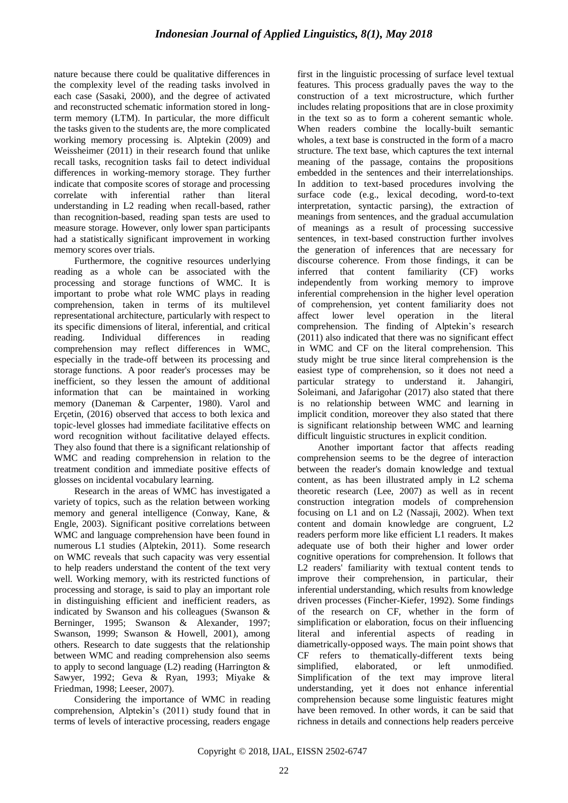nature because there could be qualitative differences in the complexity level of the reading tasks involved in each case (Sasaki, 2000), and the degree of activated and reconstructed schematic information stored in longterm memory (LTM). In particular, the more difficult the tasks given to the students are, the more complicated working memory processing is. Alptekin (2009) and Weissheimer (2011) in their research found that unlike recall tasks, recognition tasks fail to detect individual differences in working-memory storage. They further indicate that composite scores of storage and processing correlate with inferential rather than literal understanding in L2 reading when recall-based, rather than recognition-based, reading span tests are used to measure storage. However, only lower span participants had a statistically significant improvement in working memory scores over trials.

Furthermore, the cognitive resources underlying reading as a whole can be associated with the processing and storage functions of WMC. It is important to probe what role WMC plays in reading comprehension, taken in terms of its multilevel representational architecture, particularly with respect to its specific dimensions of literal, inferential, and critical reading. Individual differences in reading comprehension may reflect differences in WMC, especially in the trade-off between its processing and storage functions. A poor reader's processes may be inefficient, so they lessen the amount of additional information that can be maintained in working memory (Daneman & Carpenter, 1980). Varol and Erçetin, (2016) observed that access to both lexica and topic-level glosses had immediate facilitative effects on word recognition without facilitative delayed effects. They also found that there is a significant relationship of WMC and reading comprehension in relation to the treatment condition and immediate positive effects of glosses on incidental vocabulary learning.

Research in the areas of WMC has investigated a variety of topics, such as the relation between working memory and general intelligence (Conway, Kane, & Engle, 2003). Significant positive correlations between WMC and language comprehension have been found in numerous L1 studies (Alptekin, 2011). Some research on WMC reveals that such capacity was very essential to help readers understand the content of the text very well. Working memory, with its restricted functions of processing and storage, is said to play an important role in distinguishing efficient and inefficient readers, as indicated by Swanson and his colleagues (Swanson & Berninger, 1995; Swanson & Alexander, 1997; Swanson, 1999; Swanson & Howell, 2001), among others. Research to date suggests that the relationship between WMC and reading comprehension also seems to apply to second language  $(L2)$  reading (Harrington  $&$ Sawyer, 1992; Geva & Ryan, 1993; Miyake & Friedman, 1998; Leeser, 2007).

Considering the importance of WMC in reading comprehension, Alptekin's (2011) study found that in terms of levels of interactive processing, readers engage first in the linguistic processing of surface level textual features. This process gradually paves the way to the construction of a text microstructure, which further includes relating propositions that are in close proximity in the text so as to form a coherent semantic whole. When readers combine the locally-built semantic wholes, a text base is constructed in the form of a macro structure. The text base, which captures the text internal meaning of the passage, contains the propositions embedded in the sentences and their interrelationships. In addition to text-based procedures involving the surface code (e.g., lexical decoding, word-to-text interpretation, syntactic parsing), the extraction of meanings from sentences, and the gradual accumulation of meanings as a result of processing successive sentences, in text-based construction further involves the generation of inferences that are necessary for discourse coherence. From those findings, it can be inferred that content familiarity (CF) works independently from working memory to improve inferential comprehension in the higher level operation of comprehension, yet content familiarity does not affect lower level operation in the literal comprehension. The finding of Alptekin's research (2011) also indicated that there was no significant effect in WMC and CF on the literal comprehension. This study might be true since literal comprehension is the easiest type of comprehension, so it does not need a particular strategy to understand it. Jahangiri, Soleimani, and Jafarigohar (2017) also stated that there is no relationship between WMC and learning in implicit condition, moreover they also stated that there is significant relationship between WMC and learning difficult linguistic structures in explicit condition.

Another important factor that affects reading comprehension seems to be the degree of interaction between the reader's domain knowledge and textual content, as has been illustrated amply in L2 schema theoretic research (Lee, 2007) as well as in recent construction integration models of comprehension focusing on L1 and on L2 (Nassaji, 2002). When text content and domain knowledge are congruent, L2 readers perform more like efficient L1 readers. It makes adequate use of both their higher and lower order cognitive operations for comprehension. It follows that L2 readers' familiarity with textual content tends to improve their comprehension, in particular, their inferential understanding, which results from knowledge driven processes (Fincher-Kiefer, 1992). Some findings of the research on CF, whether in the form of simplification or elaboration, focus on their influencing literal and inferential aspects of reading in diametrically-opposed ways. The main point shows that CF refers to thematically-different texts being simplified, elaborated, or left unmodified. Simplification of the text may improve literal understanding, yet it does not enhance inferential comprehension because some linguistic features might have been removed. In other words, it can be said that richness in details and connections help readers perceive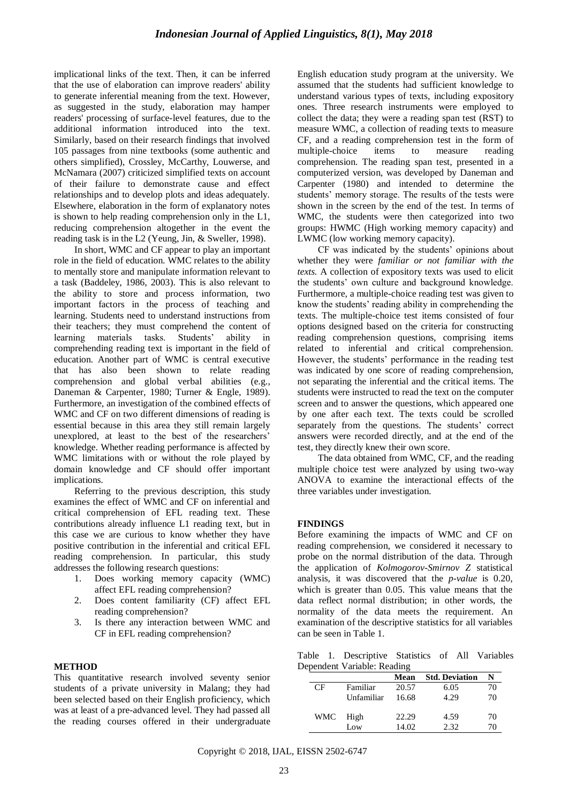implicational links of the text. Then, it can be inferred that the use of elaboration can improve readers' ability to generate inferential meaning from the text. However, as suggested in the study, elaboration may hamper readers' processing of surface-level features, due to the additional information introduced into the text. Similarly, based on their research findings that involved 105 passages from nine textbooks (some authentic and others simplified), Crossley, McCarthy, Louwerse, and McNamara (2007) criticized simplified texts on account of their failure to demonstrate cause and effect relationships and to develop plots and ideas adequately. Elsewhere, elaboration in the form of explanatory notes is shown to help reading comprehension only in the L1, reducing comprehension altogether in the event the reading task is in the L2 (Yeung, Jin, & Sweller, 1998).

In short, WMC and CF appear to play an important role in the field of education. WMC relates to the ability to mentally store and manipulate information relevant to a task (Baddeley, 1986, 2003). This is also relevant to the ability to store and process information, two important factors in the process of teaching and learning. Students need to understand instructions from their teachers; they must comprehend the content of learning materials tasks. Students' ability in comprehending reading text is important in the field of education. Another part of WMC is central executive that has also been shown to relate reading comprehension and global verbal abilities (e.g., Daneman & Carpenter, 1980; Turner & Engle, 1989). Furthermore, an investigation of the combined effects of WMC and CF on two different dimensions of reading is essential because in this area they still remain largely unexplored, at least to the best of the researchers' knowledge. Whether reading performance is affected by WMC limitations with or without the role played by domain knowledge and CF should offer important implications.

Referring to the previous description, this study examines the effect of WMC and CF on inferential and critical comprehension of EFL reading text. These contributions already influence L1 reading text, but in this case we are curious to know whether they have positive contribution in the inferential and critical EFL reading comprehension. In particular, this study addresses the following research questions:

- 1. Does working memory capacity (WMC) affect EFL reading comprehension?
- 2. Does content familiarity (CF) affect EFL reading comprehension?
- 3. Is there any interaction between WMC and CF in EFL reading comprehension?

## **METHOD**

This quantitative research involved seventy senior students of a private university in Malang; they had been selected based on their English proficiency, which was at least of a pre-advanced level. They had passed all the reading courses offered in their undergraduate English education study program at the university. We assumed that the students had sufficient knowledge to understand various types of texts, including expository ones. Three research instruments were employed to collect the data; they were a reading span test (RST) to measure WMC, a collection of reading texts to measure CF, and a reading comprehension test in the form of multiple-choice items to measure reading comprehension. The reading span test, presented in a computerized version, was developed by Daneman and Carpenter (1980) and intended to determine the students' memory storage. The results of the tests were shown in the screen by the end of the test. In terms of WMC, the students were then categorized into two groups: HWMC (High working memory capacity) and LWMC (low working memory capacity).

CF was indicated by the students' opinions about whether they were *familiar or not familiar with the texts.* A collection of expository texts was used to elicit the students' own culture and background knowledge. Furthermore, a multiple-choice reading test was given to know the students' reading ability in comprehending the texts. The multiple-choice test items consisted of four options designed based on the criteria for constructing reading comprehension questions, comprising items related to inferential and critical comprehension. However, the students' performance in the reading test was indicated by one score of reading comprehension, not separating the inferential and the critical items. The students were instructed to read the text on the computer screen and to answer the questions, which appeared one by one after each text. The texts could be scrolled separately from the questions. The students' correct answers were recorded directly, and at the end of the test, they directly knew their own score.

The data obtained from WMC, CF, and the reading multiple choice test were analyzed by using two-way ANOVA to examine the interactional effects of the three variables under investigation.

#### **FINDINGS**

Before examining the impacts of WMC and CF on reading comprehension, we considered it necessary to probe on the normal distribution of the data. Through the application of *Kolmogorov-Smirnov Z* statistical analysis*,* it was discovered that the *p-value* is 0.20, which is greater than 0.05. This value means that the data reflect normal distribution; in other words, the normality of the data meets the requirement. An examination of the descriptive statistics for all variables can be seen in Table 1.

Table 1. Descriptive Statistics of All Variables Dependent Variable: Reading

|     |            | Mean  | <b>Std. Deviation</b> | N  |
|-----|------------|-------|-----------------------|----|
| СF  | Familiar   | 20.57 | 6.05                  | 70 |
|     | Unfamiliar | 16.68 | 4.29                  | 70 |
| WMC | High       | 22.29 | 4.59                  | 70 |
|     | Low        | 14.02 | 2.32.                 | 70 |

Copyright © 2018, IJAL, EISSN [2502-6747](http://u.lipi.go.id/1435827202)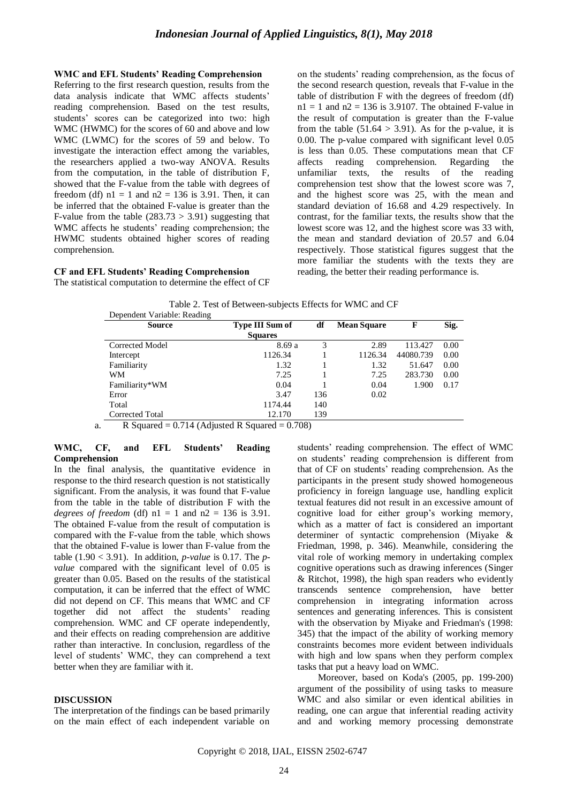#### **WMC and EFL Students' Reading Comprehension**

Referring to the first research question, results from the data analysis indicate that WMC affects students' reading comprehension. Based on the test results, students' scores can be categorized into two: high WMC (HWMC) for the scores of 60 and above and low WMC (LWMC) for the scores of 59 and below. To investigate the interaction effect among the variables, the researchers applied a two-way ANOVA. Results from the computation, in the table of distribution F, showed that the F-value from the table with degrees of freedom (df)  $nl = 1$  and  $n2 = 136$  is 3.91. Then, it can be inferred that the obtained F-value is greater than the F-value from the table  $(283.73 > 3.91)$  suggesting that WMC affects he students' reading comprehension; the HWMC students obtained higher scores of reading comprehension.

#### **CF and EFL Students' Reading Comprehension**

The statistical computation to determine the effect of CF

on the students' reading comprehension, as the focus of the second research question, reveals that F-value in the table of distribution F with the degrees of freedom (df)  $n1 = 1$  and  $n2 = 136$  is 3.9107. The obtained F-value in the result of computation is greater than the F-value from the table  $(51.64 > 3.91)$ . As for the p-value, it is 0.00. The p-value compared with significant level 0.05 is less than 0.05. These computations mean that CF affects reading comprehension. Regarding the unfamiliar texts, the results of the reading comprehension test show that the lowest score was 7, and the highest score was 25, with the mean and standard deviation of 16.68 and 4.29 respectively. In contrast, for the familiar texts, the results show that the lowest score was 12, and the highest score was 33 with, the mean and standard deviation of 20.57 and 6.04 respectively. Those statistical figures suggest that the more familiar the students with the texts they are reading, the better their reading performance is.

|                             | Table 2. Test of Between-subjects Effects for WMC and CF |  |  |
|-----------------------------|----------------------------------------------------------|--|--|
| Dependent Variable: Reading |                                                          |  |  |

| <b>Source</b>   | Type III Sum of | df  | <b>Mean Square</b> | F         | Sig. |
|-----------------|-----------------|-----|--------------------|-----------|------|
|                 | <b>Squares</b>  |     |                    |           |      |
| Corrected Model | 8.69a           | 3   | 2.89               | 113.427   | 0.00 |
| Intercept       | 1126.34         |     | 1126.34            | 44080.739 | 0.00 |
| Familiarity     | 1.32            |     | 1.32               | 51.647    | 0.00 |
| WМ              | 7.25            |     | 7.25               | 283.730   | 0.00 |
| Familiarity*WM  | 0.04            |     | 0.04               | 1.900     | 0.17 |
| Error           | 3.47            | 136 | 0.02               |           |      |
| Total           | 1174.44         | 140 |                    |           |      |
| Corrected Total | 12.170          | 139 |                    |           |      |

a. R Squared =  $0.714$  (Adjusted R Squared =  $0.708$ )

#### **WMC, CF, and EFL Students' Reading Comprehension**

In the final analysis, the quantitative evidence in response to the third research question is not statistically significant. From the analysis, it was found that F-value from the table in the table of distribution F with the *degrees of freedom* (df)  $nl = 1$  and  $n2 = 136$  is 3.91. The obtained F-value from the result of computation is compared with the F-value from the table, which shows that the obtained F-value is lower than F-value from the table (1.90 < 3.91). In addition, *p-value* is 0.17. The *pvalue* compared with the significant level of 0.05 is greater than 0.05. Based on the results of the statistical computation, it can be inferred that the effect of WMC did not depend on CF. This means that WMC and CF together did not affect the students' reading comprehension. WMC and CF operate independently, and their effects on reading comprehension are additive rather than interactive. In conclusion, regardless of the level of students' WMC, they can comprehend a text better when they are familiar with it.

#### **DISCUSSION**

The interpretation of the findings can be based primarily on the main effect of each independent variable on students' reading comprehension. The effect of WMC on students' reading comprehension is different from that of CF on students' reading comprehension. As the participants in the present study showed homogeneous proficiency in foreign language use, handling explicit textual features did not result in an excessive amount of cognitive load for either group's working memory, which as a matter of fact is considered an important determiner of syntactic comprehension (Miyake & Friedman, 1998, p. 346). Meanwhile, considering the vital role of working memory in undertaking complex cognitive operations such as drawing inferences (Singer & Ritchot, 1998), the high span readers who evidently transcends sentence comprehension, have better comprehension in integrating information across sentences and generating inferences. This is consistent with the observation by Miyake and Friedman's (1998: 345) that the impact of the ability of working memory constraints becomes more evident between individuals with high and low spans when they perform complex tasks that put a heavy load on WMC.

Moreover, based on Koda's (2005, pp. 199-200) argument of the possibility of using tasks to measure WMC and also similar or even identical abilities in reading, one can argue that inferential reading activity and and working memory processing demonstrate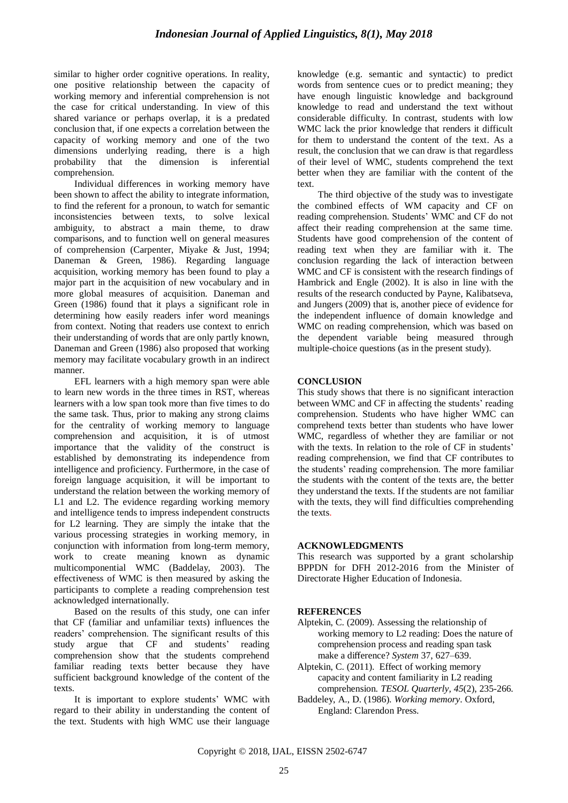similar to higher order cognitive operations. In reality, one positive relationship between the capacity of working memory and inferential comprehension is not the case for critical understanding. In view of this shared variance or perhaps overlap, it is a predated conclusion that, if one expects a correlation between the capacity of working memory and one of the two dimensions underlying reading, there is a high probability that the dimension is inferential comprehension.

Individual differences in working memory have been shown to affect the ability to integrate information, to find the referent for a pronoun, to watch for semantic inconsistencies between texts, to solve lexical ambiguity, to abstract a main theme, to draw comparisons, and to function well on general measures of comprehension (Carpenter, Miyake & Just, 1994; Daneman & Green, 1986). Regarding language acquisition, working memory has been found to play a major part in the acquisition of new vocabulary and in more global measures of acquisition. Daneman and Green (1986) found that it plays a significant role in determining how easily readers infer word meanings from context. Noting that readers use context to enrich their understanding of words that are only partly known, Daneman and Green (1986) also proposed that working memory may facilitate vocabulary growth in an indirect manner.

EFL learners with a high memory span were able to learn new words in the three times in RST, whereas learners with a low span took more than five times to do the same task. Thus, prior to making any strong claims for the centrality of working memory to language comprehension and acquisition, it is of utmost importance that the validity of the construct is established by demonstrating its independence from intelligence and proficiency. Furthermore, in the case of foreign language acquisition, it will be important to understand the relation between the working memory of L1 and L2. The evidence regarding working memory and intelligence tends to impress independent constructs for L2 learning. They are simply the intake that the various processing strategies in working memory, in conjunction with information from long-term memory, work to create meaning known as dynamic multicomponential WMC (Baddelay, 2003). The effectiveness of WMC is then measured by asking the participants to complete a reading comprehension test acknowledged internationally.

Based on the results of this study, one can infer that CF (familiar and unfamiliar texts) influences the readers' comprehension. The significant results of this study argue that CF and students' reading comprehension show that the students comprehend familiar reading texts better because they have sufficient background knowledge of the content of the texts.

It is important to explore students' WMC with regard to their ability in understanding the content of the text. Students with high WMC use their language

knowledge (e.g. semantic and syntactic) to predict words from sentence cues or to predict meaning; they have enough linguistic knowledge and background knowledge to read and understand the text without considerable difficulty. In contrast, students with low WMC lack the prior knowledge that renders it difficult for them to understand the content of the text. As a result, the conclusion that we can draw is that regardless of their level of WMC, students comprehend the text better when they are familiar with the content of the text.

The third objective of the study was to investigate the combined effects of WM capacity and CF on reading comprehension. Students' WMC and CF do not affect their reading comprehension at the same time. Students have good comprehension of the content of reading text when they are familiar with it. The conclusion regarding the lack of interaction between WMC and CF is consistent with the research findings of Hambrick and Engle (2002). It is also in line with the results of the research conducted by Payne, Kalibatseva, and Jungers (2009) that is, another piece of evidence for the independent influence of domain knowledge and WMC on reading comprehension, which was based on the dependent variable being measured through multiple-choice questions (as in the present study).

## **CONCLUSION**

This study shows that there is no significant interaction between WMC and CF in affecting the students' reading comprehension. Students who have higher WMC can comprehend texts better than students who have lower WMC, regardless of whether they are familiar or not with the texts. In relation to the role of CF in students' reading comprehension, we find that CF contributes to the students' reading comprehension. The more familiar the students with the content of the texts are, the better they understand the texts. If the students are not familiar with the texts, they will find difficulties comprehending the texts.

## **ACKNOWLEDGMENTS**

This research was supported by a grant scholarship BPPDN for DFH 2012-2016 from the Minister of Directorate Higher Education of Indonesia.

## **REFERENCES**

- Alptekin, C. (2009). Assessing the relationship of working memory to L2 reading: Does the nature of comprehension process and reading span task make a difference? *System* 37, 627–639.
- Alptekin, C. (2011). Effect of working memory capacity and content familiarity in L2 reading comprehension*. TESOL Quarterly, 45*(2), 235-266.
- Baddeley, A., D. (1986). *Working memory*. Oxford, England: Clarendon Press.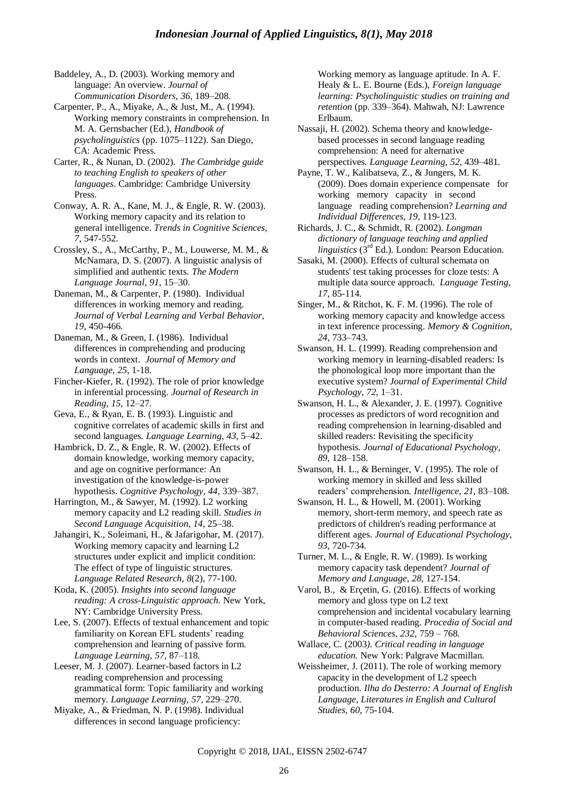Baddeley, A., D. (2003). Working memory and language: An overview. *Journal of Communication Disorders*, *36*, 189–208.

Carpenter, P., A., Miyake, A., & Just, M., A. (1994). Working memory constraints in comprehension. In M. A. Gernsbacher (Ed.), *Handbook of psycholinguistics* (pp. 1075–1122). San Diego, CA: Academic Press.

Carter, R., & Nunan, D. (2002). *The Cambridge guide to teaching English to speakers of other languages*. Cambridge: Cambridge University Press.

Conway, A. R. A., Kane, M. J., & Engle, R. W. (2003). Working memory capacity and its relation to general intelligence. *Trends in Cognitive Sciences, 7*, 547-552.

Crossley, S., A., McCarthy, P., M., Louwerse, M. M., & McNamara, D. S. (2007). A linguistic analysis of simplified and authentic texts. *The Modern Language Journal*, *91*, 15–30.

Daneman, M., & Carpenter, P. (1980). Individual differences in working memory and reading. *Journal of Verbal Learning and Verbal Behavior*, *19*, 450-466.

Daneman, M., & Green, I. (1986). Individual differences in comprehending and producing words in context. *Journal of Memory and Language*, *25*, 1-18.

Fincher-Kiefer, R. (1992). The role of prior knowledge in inferential processing. *Journal of Research in Reading*, *15*, 12–27.

Geva, E., & Ryan, E. B. (1993). Linguistic and cognitive correlates of academic skills in first and second languages*. Language Learning*, *43*, 5–42.

Hambrick, D. Z., & Engle, R. W. (2002). Effects of domain knowledge, working memory capacity, and age on cognitive performance: An investigation of the knowledge-is-power hypothesis. *Cognitive Psychology*, *44*, 339–387.

Harrington, M., & Sawyer, M. (1992). L2 working memory capacity and L2 reading skill*. Studies in Second Language Acquisition*, *14*, 25–38.

Jahangiri, K., Soleimani, H., & Jafarigohar, M. (2017). Working memory capacity and learning L2 structures under explicit and implicit condition: The effect of type of linguistic structures. *Language Related Research, 8*(2), 77-100.

Koda, K. (2005). *Insights into second language reading: A cross-Linguistic approach*. New York, NY: Cambridge University Press.

Lee, S. (2007). Effects of textual enhancement and topic familiarity on Korean EFL students' reading comprehension and learning of passive form*. Language Learning, 57*, 87–118.

Leeser, M. J. (2007). Learner-based factors in L2 reading comprehension and processing grammatical form: Topic familiarity and working memory. *Language Learning*, *57*, 229–270.

Miyake, A., & Friedman, N. P. (1998). Individual differences in second language proficiency:

Working memory as language aptitude. In A. F. Healy & L. E. Bourne (Eds.), *Foreign language learning: Psycholinguistic studies on training and retention* (pp. 339–364). Mahwah, NJ: Lawrence Erlbaum.

Nassaji, H. (2002). Schema theory and knowledgebased processes in second language reading comprehension: A need for alternative perspectives*. Language Learning, 52*, 439–481.

Payne, T. W., Kalibatseva, Z., & Jungers, M. K. (2009). Does domain experience compensate for working memory capacity in second language reading comprehension? *Learning and Individual Differences, 19,* 119-123.

Richards, J. C., & Schmidt, R. (2002). *Longman dictionary of language teaching and applied linguistics* (3rd Ed.). London: Pearson Education.

Sasaki, M. (2000). Effects of cultural schemata on students' test taking processes for cloze tests: A multiple data source approach. *Language Testing, 17,* 85-114.

Singer, M., & Ritchot, K. F. M. (1996). The role of working memory capacity and knowledge access in text inference processing. *Memory & Cognition*, *24*, 733–743.

Swanson, H. L. (1999). Reading comprehension and working memory in learning-disabled readers: Is the phonological loop more important than the executive system? *Journal of Experimental Child Psychology*, *72,* 1–31.

Swanson, H. L., & Alexander, J. E. (1997). Cognitive processes as predictors of word recognition and reading comprehension in learning-disabled and skilled readers: Revisiting the specificity hypothesis*. Journal of Educational Psychology, 89*, 128–158.

Swanson, H. L., & Berninger, V. (1995). The role of working memory in skilled and less skilled readers' comprehension*. Intelligence*, *21*, 83–108.

Swanson, H. L., & Howell, M. (2001). Working memory, short-term memory, and speech rate as predictors of children's reading performance at different ages. *Journal of Educational Psychology, 93*, 720-734*.* 

Turner, M. L., & Engle, R. W. (1989). Is working memory capacity task dependent? *Journal of Memory and Language, 28*, 127-154.

Varol, B., & Erçetin, G. (2016). Effects of working memory and gloss type on L2 text comprehension and incidental vocabulary learning in computer-based reading. *Procedia of Social and Behavioral Sciences, 232*, 759 – 768.

Wallace, C. (2003*). Critical reading in language education.* New York: Palgrave Macmillan.

Weissheimer, J. (2011). The role of working memory capacity in the development of L2 speech production. *Ilha do Desterro: A Journal of English Language, Literatures in English and Cultural Studies, 60*, 75-104.

Copyright © 2018, IJAL, EISSN [2502-6747](http://u.lipi.go.id/1435827202)